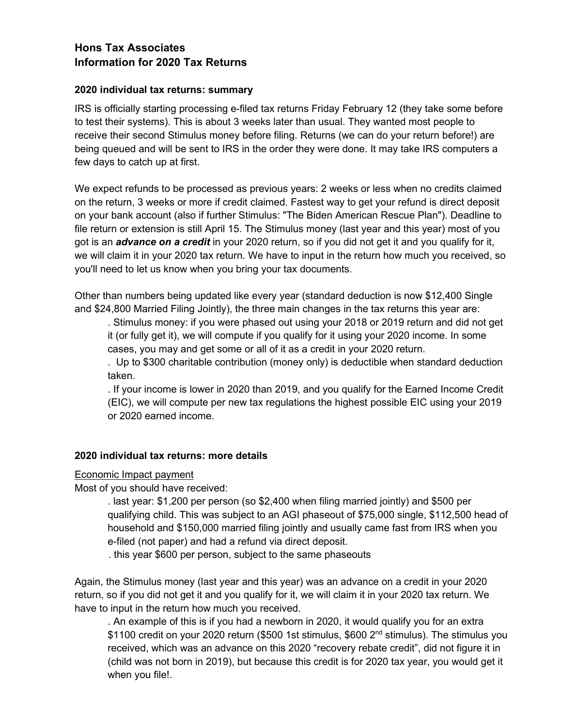# **Hons Tax Associates Information for 2020 Tax Returns**

### **2020 individual tax returns: summary**

IRS is officially starting processing e-filed tax returns Friday February 12 (they take some before to test their systems). This is about 3 weeks later than usual. They wanted most people to receive their second Stimulus money before filing. Returns (we can do your return before!) are being queued and will be sent to IRS in the order they were done. It may take IRS computers a few days to catch up at first.

We expect refunds to be processed as previous years: 2 weeks or less when no credits claimed on the return, 3 weeks or more if credit claimed. Fastest way to get your refund is direct deposit on your bank account (also if further Stimulus: "The Biden American Rescue Plan"). Deadline to file return or extension is still April 15. The Stimulus money (last year and this year) most of you got is an *advance on a credit* in your 2020 return, so if you did not get it and you qualify for it, we will claim it in your 2020 tax return. We have to input in the return how much you received, so you'll need to let us know when you bring your tax documents.

Other than numbers being updated like every year (standard deduction is now \$12,400 Single and \$24,800 Married Filing Jointly), the three main changes in the tax returns this year are:

. Stimulus money: if you were phased out using your 2018 or 2019 return and did not get it (or fully get it), we will compute if you qualify for it using your 2020 income. In some cases, you may and get some or all of it as a credit in your 2020 return.

. Up to \$300 charitable contribution (money only) is deductible when standard deduction taken.

. If your income is lower in 2020 than 2019, and you qualify for the Earned Income Credit (EIC), we will compute per new tax regulations the highest possible EIC using your 2019 or 2020 earned income.

#### **2020 individual tax returns: more details**

#### Economic Impact payment

Most of you should have received:

. last year: \$1,200 per person (so \$2,400 when filing married jointly) and \$500 per qualifying child. This was subject to an AGI phaseout of \$75,000 single, \$112,500 head of household and \$150,000 married filing jointly and usually came fast from IRS when you e-filed (not paper) and had a refund via direct deposit.

. this year \$600 per person, subject to the same phaseouts

Again, the Stimulus money (last year and this year) was an advance on a credit in your 2020 return, so if you did not get it and you qualify for it, we will claim it in your 2020 tax return. We have to input in the return how much you received.

. An example of this is if you had a newborn in 2020, it would qualify you for an extra \$1100 credit on your 2020 return (\$500 1st stimulus, \$600 2<sup>nd</sup> stimulus). The stimulus you received, which was an advance on this 2020 "recovery rebate credit", did not figure it in (child was not born in 2019), but because this credit is for 2020 tax year, you would get it when you file!.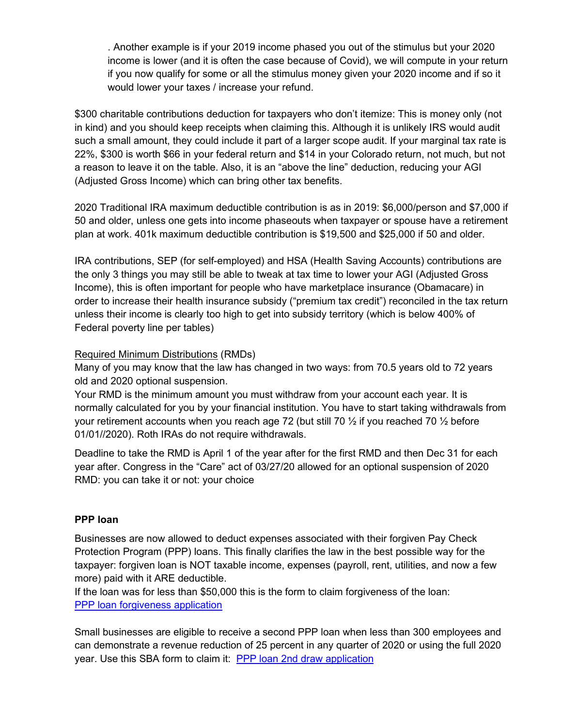. Another example is if your 2019 income phased you out of the stimulus but your 2020 income is lower (and it is often the case because of Covid), we will compute in your return if you now qualify for some or all the stimulus money given your 2020 income and if so it would lower your taxes / increase your refund.

\$300 charitable contributions deduction for taxpayers who don't itemize: This is money only (not in kind) and you should keep receipts when claiming this. Although it is unlikely IRS would audit such a small amount, they could include it part of a larger scope audit. If your marginal tax rate is 22%, \$300 is worth \$66 in your federal return and \$14 in your Colorado return, not much, but not a reason to leave it on the table. Also, it is an "above the line" deduction, reducing your AGI (Adjusted Gross Income) which can bring other tax benefits.

2020 Traditional IRA maximum deductible contribution is as in 2019: \$6,000/person and \$7,000 if 50 and older, unless one gets into income phaseouts when taxpayer or spouse have a retirement plan at work. 401k maximum deductible contribution is \$19,500 and \$25,000 if 50 and older.

IRA contributions, SEP (for self-employed) and HSA (Health Saving Accounts) contributions are the only 3 things you may still be able to tweak at tax time to lower your AGI (Adjusted Gross Income), this is often important for people who have marketplace insurance (Obamacare) in order to increase their health insurance subsidy ("premium tax credit") reconciled in the tax return unless their income is clearly too high to get into subsidy territory (which is below 400% of Federal poverty line per tables)

## Required Minimum Distributions (RMDs)

Many of you may know that the law has changed in two ways: from 70.5 years old to 72 years old and 2020 optional suspension.

Your RMD is the minimum amount you must withdraw from your account each year. It is normally calculated for you by your financial institution. You have to start taking withdrawals from your retirement accounts when you reach age 72 (but still 70  $\frac{1}{2}$  if you reached 70  $\frac{1}{2}$  before 01/01//2020). Roth IRAs do not require withdrawals.

Deadline to take the RMD is April 1 of the year after for the first RMD and then Dec 31 for each year after. Congress in the "Care" act of 03/27/20 allowed for an optional suspension of 2020 RMD: you can take it or not: your choice

### **PPP loan**

Businesses are now allowed to deduct expenses associated with their forgiven Pay Check Protection Program (PPP) loans. This finally clarifies the law in the best possible way for the taxpayer: forgiven loan is NOT taxable income, expenses (payroll, rent, utilities, and now a few more) paid with it ARE deductible.

If the loan was for less than \$50,000 this is the form to claim forgiveness of the loan: PPP loan forgiveness application

Small businesses are eligible to receive a second PPP loan when less than 300 employees and can demonstrate a revenue reduction of 25 percent in any quarter of 2020 or using the full 2020 year. Use this SBA form to claim it: PPP loan 2nd draw application